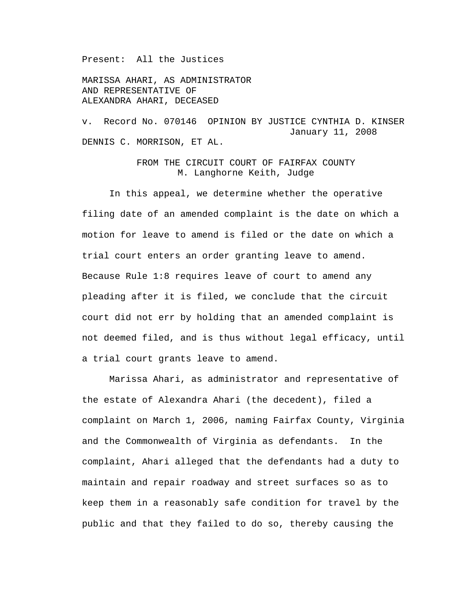Present: All the Justices

MARISSA AHARI, AS ADMINISTRATOR AND REPRESENTATIVE OF ALEXANDRA AHARI, DECEASED

v. Record No. 070146 OPINION BY JUSTICE CYNTHIA D. KINSER January 11, 2008 DENNIS C. MORRISON, ET AL.

## FROM THE CIRCUIT COURT OF FAIRFAX COUNTY M. Langhorne Keith, Judge

 In this appeal, we determine whether the operative filing date of an amended complaint is the date on which a motion for leave to amend is filed or the date on which a trial court enters an order granting leave to amend. Because Rule 1:8 requires leave of court to amend any pleading after it is filed, we conclude that the circuit court did not err by holding that an amended complaint is not deemed filed, and is thus without legal efficacy, until a trial court grants leave to amend.

 Marissa Ahari, as administrator and representative of the estate of Alexandra Ahari (the decedent), filed a complaint on March 1, 2006, naming Fairfax County, Virginia and the Commonwealth of Virginia as defendants. In the complaint, Ahari alleged that the defendants had a duty to maintain and repair roadway and street surfaces so as to keep them in a reasonably safe condition for travel by the public and that they failed to do so, thereby causing the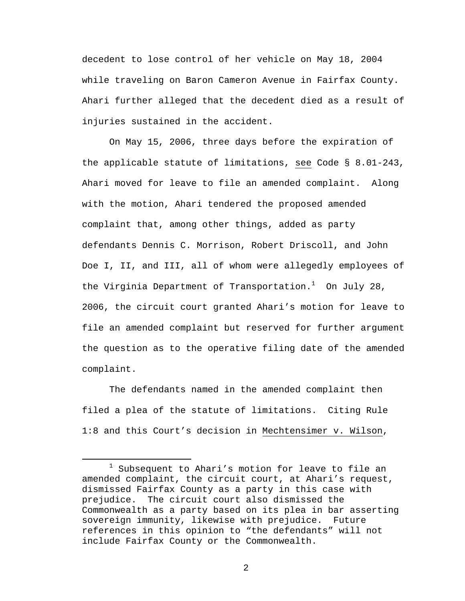decedent to lose control of her vehicle on May 18, 2004 while traveling on Baron Cameron Avenue in Fairfax County. Ahari further alleged that the decedent died as a result of injuries sustained in the accident.

On May 15, 2006, three days before the expiration of the applicable statute of limitations, see Code § 8.01-243, Ahari moved for leave to file an amended complaint. Along with the motion, Ahari tendered the proposed amended complaint that, among other things, added as party defendants Dennis C. Morrison, Robert Driscoll, and John Doe I, II, and III, all of whom were allegedly employees of the Virginia Department of Transportation. $^1$  On July 28, 2006, the circuit court granted Ahari's motion for leave to file an amended complaint but reserved for further argument the question as to the operative filing date of the amended complaint.

The defendants named in the amended complaint then filed a plea of the statute of limitations. Citing Rule 1:8 and this Court's decision in Mechtensimer v. Wilson,

 $\begin{array}{c}\n\hline\n\hline\n\hline\n\hline\n\hline\n\end{array}$  $1$  Subsequent to Ahari's motion for leave to file an amended complaint, the circuit court, at Ahari's request, dismissed Fairfax County as a party in this case with prejudice. The circuit court also dismissed the Commonwealth as a party based on its plea in bar asserting sovereign immunity, likewise with prejudice. Future references in this opinion to "the defendants" will not include Fairfax County or the Commonwealth.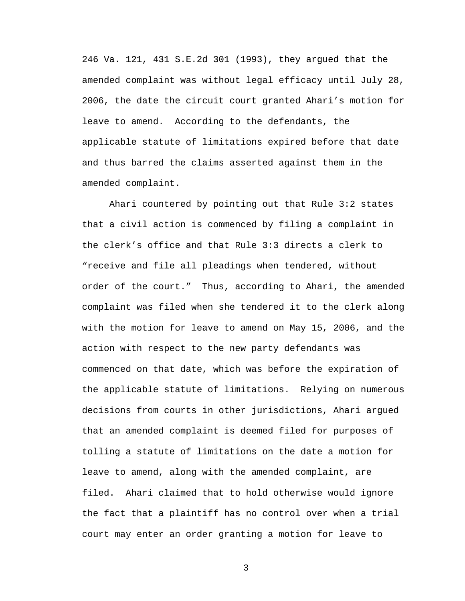246 Va. 121, 431 S.E.2d 301 (1993), they argued that the amended complaint was without legal efficacy until July 28, 2006, the date the circuit court granted Ahari's motion for leave to amend. According to the defendants, the applicable statute of limitations expired before that date and thus barred the claims asserted against them in the amended complaint.

Ahari countered by pointing out that Rule 3:2 states that a civil action is commenced by filing a complaint in the clerk's office and that Rule 3:3 directs a clerk to "receive and file all pleadings when tendered, without order of the court." Thus, according to Ahari, the amended complaint was filed when she tendered it to the clerk along with the motion for leave to amend on May 15, 2006, and the action with respect to the new party defendants was commenced on that date, which was before the expiration of the applicable statute of limitations. Relying on numerous decisions from courts in other jurisdictions, Ahari argued that an amended complaint is deemed filed for purposes of tolling a statute of limitations on the date a motion for leave to amend, along with the amended complaint, are filed. Ahari claimed that to hold otherwise would ignore the fact that a plaintiff has no control over when a trial court may enter an order granting a motion for leave to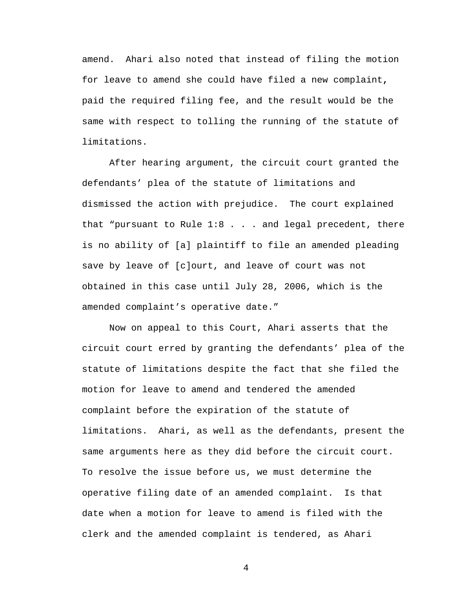amend. Ahari also noted that instead of filing the motion for leave to amend she could have filed a new complaint**,** paid the required filing fee, and the result would be the same with respect to tolling the running of the statute of limitations.

After hearing argument, the circuit court granted the defendants' plea of the statute of limitations and dismissed the action with prejudice. The court explained that "pursuant to Rule 1:8 . . . and legal precedent, there is no ability of [a] plaintiff to file an amended pleading save by leave of [c]ourt, and leave of court was not obtained in this case until July 28, 2006, which is the amended complaint's operative date."

Now on appeal to this Court, Ahari asserts that the circuit court erred by granting the defendants' plea of the statute of limitations despite the fact that she filed the motion for leave to amend and tendered the amended complaint before the expiration of the statute of limitations. Ahari, as well as the defendants, present the same arguments here as they did before the circuit court. To resolve the issue before us, we must determine the operative filing date of an amended complaint. Is that date when a motion for leave to amend is filed with the clerk and the amended complaint is tendered, as Ahari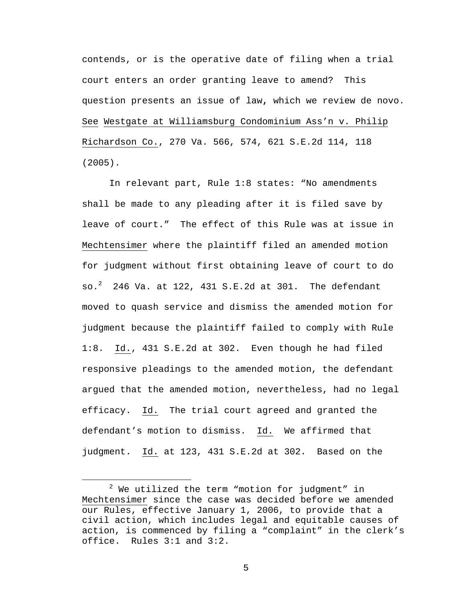contends, or is the operative date of filing when a trial court enters an order granting leave to amend? This question presents an issue of law**,** which we review de novo. See Westgate at Williamsburg Condominium Ass'n v. Philip Richardson Co., 270 Va. 566, 574, 621 S.E.2d 114, 118 (2005).

In relevant part, Rule 1:8 states: "No amendments shall be made to any pleading after it is filed save by leave of court." The effect of this Rule was at issue in Mechtensimer where the plaintiff filed an amended motion for judgment without first obtaining leave of court to do so. $^2$  246 Va. at 122, 431 S.E.2d at 301. The defendant moved to quash service and dismiss the amended motion for judgment because the plaintiff failed to comply with Rule 1:8. Id., 431 S.E.2d at 302. Even though he had filed responsive pleadings to the amended motion, the defendant argued that the amended motion, nevertheless, had no legal efficacy. Id. The trial court agreed and granted the defendant's motion to dismiss. Id. We affirmed that judgment. Id. at 123, 431 S.E.2d at 302. Based on the

 <sup>2</sup>  $2$  We utilized the term "motion for judgment" in Mechtensimer since the case was decided before we amended our Rules, effective January 1, 2006, to provide that a civil action, which includes legal and equitable causes of action, is commenced by filing a "complaint" in the clerk's office. Rules 3:1 and 3:2.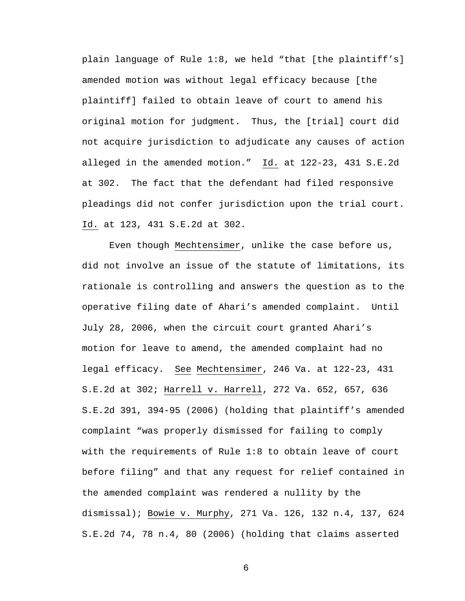plain language of Rule 1:8, we held "that [the plaintiff's] amended motion was without legal efficacy because [the plaintiff] failed to obtain leave of court to amend his original motion for judgment. Thus, the [trial] court did not acquire jurisdiction to adjudicate any causes of action alleged in the amended motion." Id. at 122-23, 431 S.E.2d at 302. The fact that the defendant had filed responsive pleadings did not confer jurisdiction upon the trial court. Id. at 123, 431 S.E.2d at 302.

 Even though Mechtensimer, unlike the case before us, did not involve an issue of the statute of limitations, its rationale is controlling and answers the question as to the operative filing date of Ahari's amended complaint. Until July 28, 2006, when the circuit court granted Ahari's motion for leave to amend, the amended complaint had no legal efficacy. See Mechtensimer, 246 Va. at 122-23, 431 S.E.2d at 302; Harrell v. Harrell, 272 Va. 652, 657, 636 S.E.2d 391, 394-95 (2006) (holding that plaintiff's amended complaint "was properly dismissed for failing to comply with the requirements of Rule 1:8 to obtain leave of court before filing" and that any request for relief contained in the amended complaint was rendered a nullity by the dismissal); Bowie v. Murphy, 271 Va. 126, 132 n.4, 137, 624 S.E.2d 74, 78 n.4, 80 (2006) (holding that claims asserted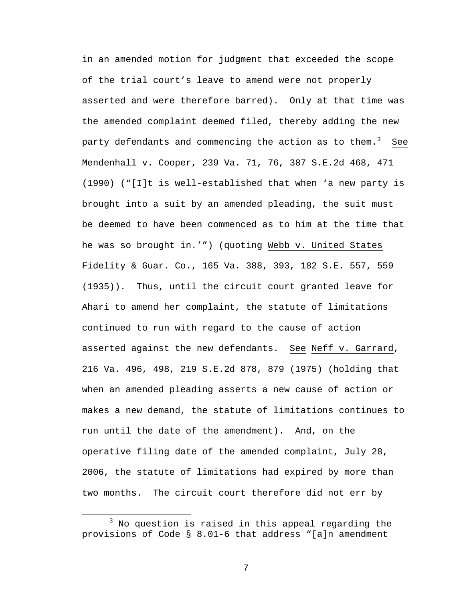in an amended motion for judgment that exceeded the scope of the trial court's leave to amend were not properly asserted and were therefore barred). Only at that time was the amended complaint deemed filed, thereby adding the new party defendants and commencing the action as to them. $^3$  See Mendenhall v. Cooper, 239 Va. 71, 76, 387 S.E.2d 468, 471 (1990) ("[I]t is well-established that when 'a new party is brought into a suit by an amended pleading, the suit must be deemed to have been commenced as to him at the time that he was so brought in.'") (quoting Webb v. United States Fidelity & Guar. Co., 165 Va. 388, 393, 182 S.E. 557, 559 (1935)). Thus, until the circuit court granted leave for Ahari to amend her complaint, the statute of limitations continued to run with regard to the cause of action asserted against the new defendants. See Neff v. Garrard, 216 Va. 496, 498, 219 S.E.2d 878, 879 (1975) (holding that when an amended pleading asserts a new cause of action or makes a new demand, the statute of limitations continues to run until the date of the amendment). And, on the operative filing date of the amended complaint, July 28, 2006, the statute of limitations had expired by more than two months. The circuit court therefore did not err by

 $\overline{\phantom{a}}$  3  $3$  No question is raised in this appeal regarding the provisions of Code § 8.01-6 that address "[a]n amendment